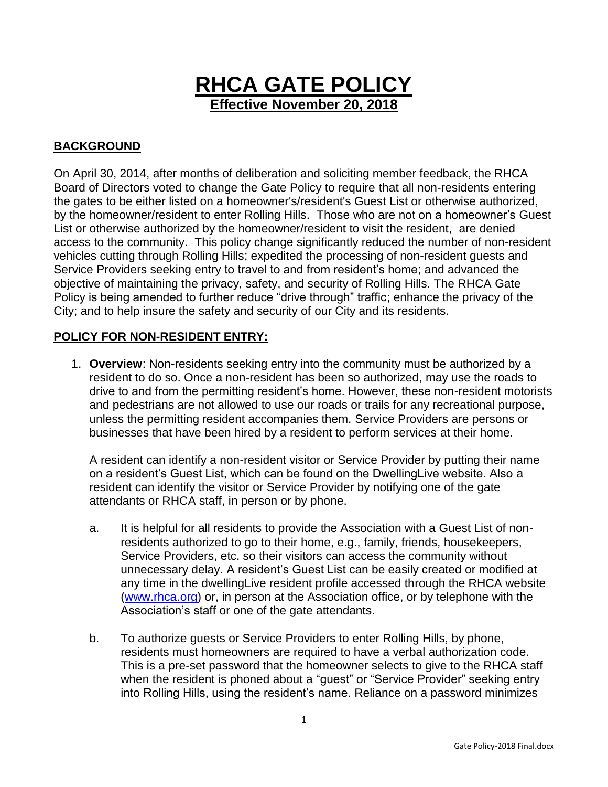

## **BACKGROUND**

On April 30, 2014, after months of deliberation and soliciting member feedback, the RHCA Board of Directors voted to change the Gate Policy to require that all non-residents entering the gates to be either listed on a homeowner's/resident's Guest List or otherwise authorized, by the homeowner/resident to enter Rolling Hills. Those who are not on a homeowner's Guest List or otherwise authorized by the homeowner/resident to visit the resident, are denied access to the community. This policy change significantly reduced the number of non-resident vehicles cutting through Rolling Hills; expedited the processing of non-resident guests and Service Providers seeking entry to travel to and from resident's home; and advanced the objective of maintaining the privacy, safety, and security of Rolling Hills. The RHCA Gate Policy is being amended to further reduce "drive through" traffic; enhance the privacy of the City; and to help insure the safety and security of our City and its residents.

## **POLICY FOR NON-RESIDENT ENTRY:**

1. **Overview**: Non-residents seeking entry into the community must be authorized by a resident to do so. Once a non-resident has been so authorized, may use the roads to drive to and from the permitting resident's home. However, these non-resident motorists and pedestrians are not allowed to use our roads or trails for any recreational purpose, unless the permitting resident accompanies them. Service Providers are persons or businesses that have been hired by a resident to perform services at their home.

A resident can identify a non-resident visitor or Service Provider by putting their name on a resident's Guest List, which can be found on the DwellingLive website. Also a resident can identify the visitor or Service Provider by notifying one of the gate attendants or RHCA staff, in person or by phone.

- a. It is helpful for all residents to provide the Association with a Guest List of nonresidents authorized to go to their home, e.g., family, friends, housekeepers, Service Providers, etc. so their visitors can access the community without unnecessary delay. A resident's Guest List can be easily created or modified at any time in the dwellingLive resident profile accessed through the RHCA website [\(www.rhca.org\)](http://www.rhca.org/) or, in person at the Association office, or by telephone with the Association's staff or one of the gate attendants.
- b. To authorize guests or Service Providers to enter Rolling Hills, by phone, residents must homeowners are required to have a verbal authorization code. This is a pre-set password that the homeowner selects to give to the RHCA staff when the resident is phoned about a "guest" or "Service Provider" seeking entry into Rolling Hills, using the resident's name. Reliance on a password minimizes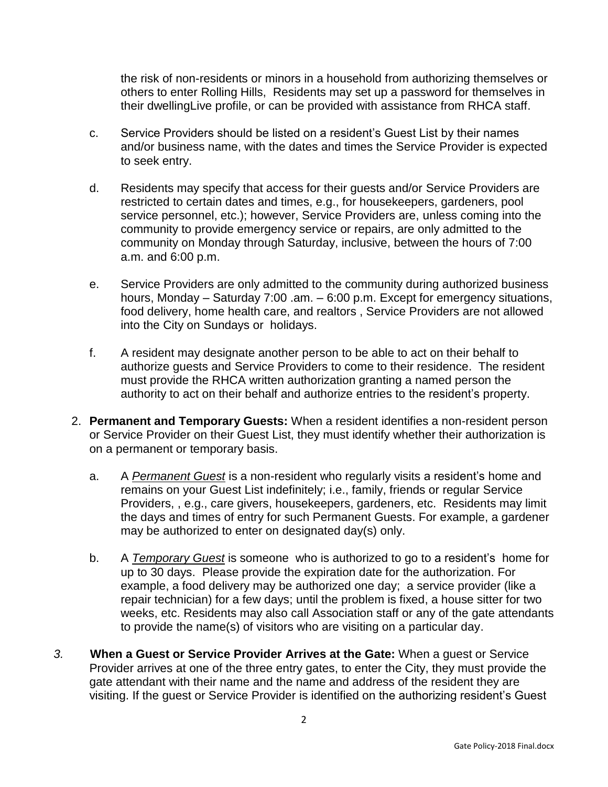the risk of non-residents or minors in a household from authorizing themselves or others to enter Rolling Hills, Residents may set up a password for themselves in their dwellingLive profile, or can be provided with assistance from RHCA staff.

- c. Service Providers should be listed on a resident's Guest List by their names and/or business name, with the dates and times the Service Provider is expected to seek entry.
- d. Residents may specify that access for their guests and/or Service Providers are restricted to certain dates and times, e.g., for housekeepers, gardeners, pool service personnel, etc.); however, Service Providers are, unless coming into the community to provide emergency service or repairs, are only admitted to the community on Monday through Saturday, inclusive, between the hours of 7:00 a.m. and 6:00 p.m.
- e. Service Providers are only admitted to the community during authorized business hours, Monday – Saturday 7:00 .am. – 6:00 p.m. Except for emergency situations, food delivery, home health care, and realtors , Service Providers are not allowed into the City on Sundays or holidays.
- f. A resident may designate another person to be able to act on their behalf to authorize guests and Service Providers to come to their residence. The resident must provide the RHCA written authorization granting a named person the authority to act on their behalf and authorize entries to the resident's property.
- 2. **Permanent and Temporary Guests:** When a resident identifies a non-resident person or Service Provider on their Guest List, they must identify whether their authorization is on a permanent or temporary basis.
	- a. A *Permanent Guest* is a non-resident who regularly visits a resident's home and remains on your Guest List indefinitely; i.e., family, friends or regular Service Providers, , e.g., care givers, housekeepers, gardeners, etc. Residents may limit the days and times of entry for such Permanent Guests. For example, a gardener may be authorized to enter on designated day(s) only.
	- b. A *Temporary Guest* is someone who is authorized to go to a resident's home for up to 30 days. Please provide the expiration date for the authorization. For example, a food delivery may be authorized one day; a service provider (like a repair technician) for a few days; until the problem is fixed, a house sitter for two weeks, etc. Residents may also call Association staff or any of the gate attendants to provide the name(s) of visitors who are visiting on a particular day.
- *3.* **When a Guest or Service Provider Arrives at the Gate:** When a guest or Service Provider arrives at one of the three entry gates, to enter the City, they must provide the gate attendant with their name and the name and address of the resident they are visiting. If the guest or Service Provider is identified on the authorizing resident's Guest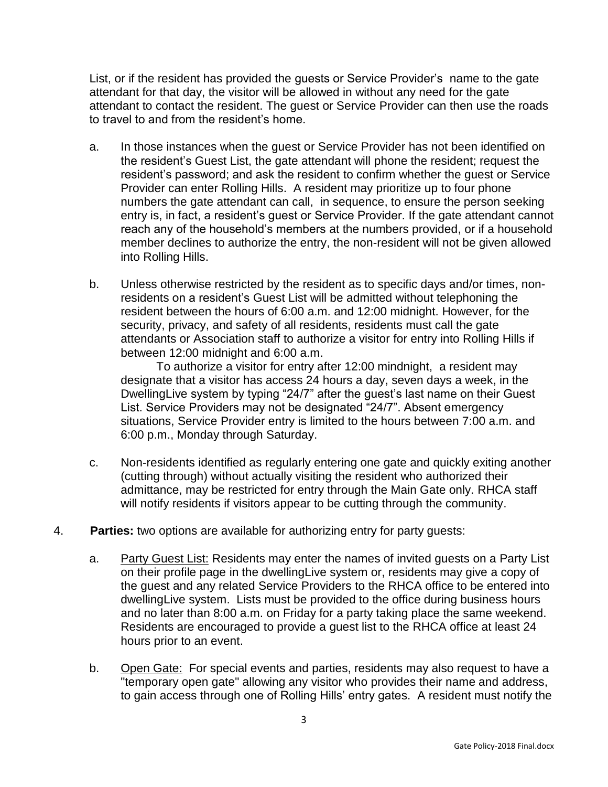List, or if the resident has provided the guests or Service Provider's name to the gate attendant for that day, the visitor will be allowed in without any need for the gate attendant to contact the resident. The guest or Service Provider can then use the roads to travel to and from the resident's home.

- a. In those instances when the guest or Service Provider has not been identified on the resident's Guest List, the gate attendant will phone the resident; request the resident's password; and ask the resident to confirm whether the guest or Service Provider can enter Rolling Hills. A resident may prioritize up to four phone numbers the gate attendant can call, in sequence, to ensure the person seeking entry is, in fact, a resident's guest or Service Provider. If the gate attendant cannot reach any of the household's members at the numbers provided, or if a household member declines to authorize the entry, the non-resident will not be given allowed into Rolling Hills.
- b. Unless otherwise restricted by the resident as to specific days and/or times, nonresidents on a resident's Guest List will be admitted without telephoning the resident between the hours of 6:00 a.m. and 12:00 midnight. However, for the security, privacy, and safety of all residents, residents must call the gate attendants or Association staff to authorize a visitor for entry into Rolling Hills if between 12:00 midnight and 6:00 a.m.

To authorize a visitor for entry after 12:00 mindnight, a resident may designate that a visitor has access 24 hours a day, seven days a week, in the DwellingLive system by typing "24/7" after the guest's last name on their Guest List. Service Providers may not be designated "24/7". Absent emergency situations, Service Provider entry is limited to the hours between 7:00 a.m. and 6:00 p.m., Monday through Saturday.

- c. Non-residents identified as regularly entering one gate and quickly exiting another (cutting through) without actually visiting the resident who authorized their admittance, may be restricted for entry through the Main Gate only. RHCA staff will notify residents if visitors appear to be cutting through the community.
- 4. **Parties:** two options are available for authorizing entry for party guests:
	- a. Party Guest List: Residents may enter the names of invited guests on a Party List on their profile page in the dwellingLive system or, residents may give a copy of the guest and any related Service Providers to the RHCA office to be entered into dwellingLive system. Lists must be provided to the office during business hours and no later than 8:00 a.m. on Friday for a party taking place the same weekend. Residents are encouraged to provide a guest list to the RHCA office at least 24 hours prior to an event.
	- b. Open Gate: For special events and parties, residents may also request to have a "temporary open gate" allowing any visitor who provides their name and address, to gain access through one of Rolling Hills' entry gates. A resident must notify the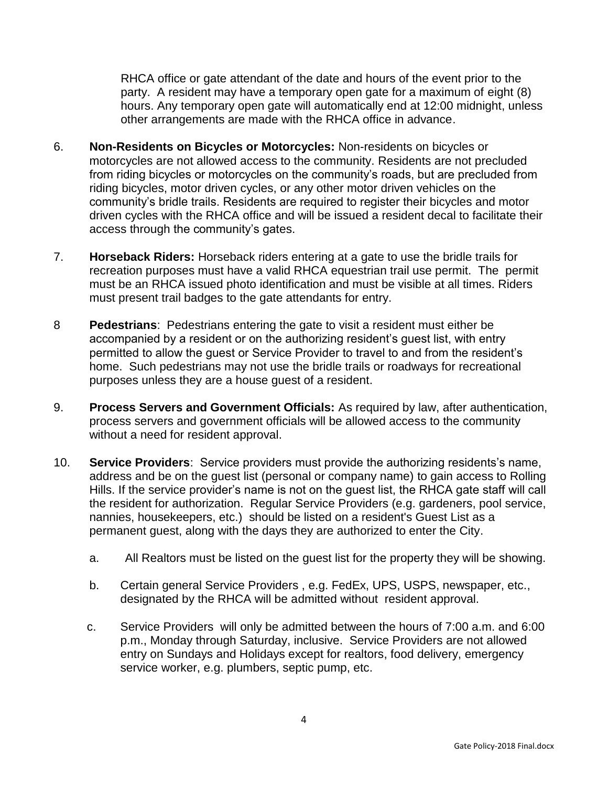RHCA office or gate attendant of the date and hours of the event prior to the party. A resident may have a temporary open gate for a maximum of eight (8) hours. Any temporary open gate will automatically end at 12:00 midnight, unless other arrangements are made with the RHCA office in advance.

- 6. **Non-Residents on Bicycles or Motorcycles:** Non-residents on bicycles or motorcycles are not allowed access to the community. Residents are not precluded from riding bicycles or motorcycles on the community's roads, but are precluded from riding bicycles, motor driven cycles, or any other motor driven vehicles on the community's bridle trails. Residents are required to register their bicycles and motor driven cycles with the RHCA office and will be issued a resident decal to facilitate their access through the community's gates.
- 7. **Horseback Riders:** Horseback riders entering at a gate to use the bridle trails for recreation purposes must have a valid RHCA equestrian trail use permit. The permit must be an RHCA issued photo identification and must be visible at all times. Riders must present trail badges to the gate attendants for entry.
- 8 **Pedestrians**: Pedestrians entering the gate to visit a resident must either be accompanied by a resident or on the authorizing resident's guest list, with entry permitted to allow the guest or Service Provider to travel to and from the resident's home. Such pedestrians may not use the bridle trails or roadways for recreational purposes unless they are a house guest of a resident.
- 9. **Process Servers and Government Officials:** As required by law, after authentication, process servers and government officials will be allowed access to the community without a need for resident approval.
- 10. **Service Providers**: Service providers must provide the authorizing residents's name, address and be on the guest list (personal or company name) to gain access to Rolling Hills. If the service provider's name is not on the guest list, the RHCA gate staff will call the resident for authorization. Regular Service Providers (e.g. gardeners, pool service, nannies, housekeepers, etc.) should be listed on a resident's Guest List as a permanent guest, along with the days they are authorized to enter the City.
	- a. All Realtors must be listed on the guest list for the property they will be showing.
	- b. Certain general Service Providers , e.g. FedEx, UPS, USPS, newspaper, etc., designated by the RHCA will be admitted without resident approval.
	- c. Service Providers will only be admitted between the hours of 7:00 a.m. and 6:00 p.m., Monday through Saturday, inclusive. Service Providers are not allowed entry on Sundays and Holidays except for realtors, food delivery, emergency service worker, e.g. plumbers, septic pump, etc.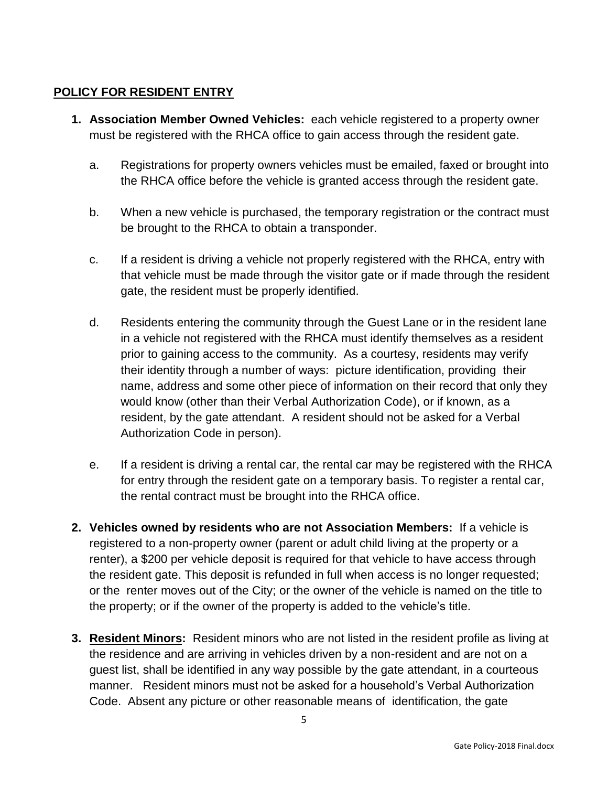## **POLICY FOR RESIDENT ENTRY**

- **1. Association Member Owned Vehicles:** each vehicle registered to a property owner must be registered with the RHCA office to gain access through the resident gate.
	- a. Registrations for property owners vehicles must be emailed, faxed or brought into the RHCA office before the vehicle is granted access through the resident gate.
	- b. When a new vehicle is purchased, the temporary registration or the contract must be brought to the RHCA to obtain a transponder.
	- c. If a resident is driving a vehicle not properly registered with the RHCA, entry with that vehicle must be made through the visitor gate or if made through the resident gate, the resident must be properly identified.
	- d. Residents entering the community through the Guest Lane or in the resident lane in a vehicle not registered with the RHCA must identify themselves as a resident prior to gaining access to the community. As a courtesy, residents may verify their identity through a number of ways: picture identification, providing their name, address and some other piece of information on their record that only they would know (other than their Verbal Authorization Code), or if known, as a resident, by the gate attendant. A resident should not be asked for a Verbal Authorization Code in person).
	- e. If a resident is driving a rental car, the rental car may be registered with the RHCA for entry through the resident gate on a temporary basis. To register a rental car, the rental contract must be brought into the RHCA office.
- **2. Vehicles owned by residents who are not Association Members:** If a vehicle is registered to a non-property owner (parent or adult child living at the property or a renter), a \$200 per vehicle deposit is required for that vehicle to have access through the resident gate. This deposit is refunded in full when access is no longer requested; or the renter moves out of the City; or the owner of the vehicle is named on the title to the property; or if the owner of the property is added to the vehicle's title.
- **3. Resident Minors:** Resident minors who are not listed in the resident profile as living at the residence and are arriving in vehicles driven by a non-resident and are not on a guest list, shall be identified in any way possible by the gate attendant, in a courteous manner. Resident minors must not be asked for a household's Verbal Authorization Code. Absent any picture or other reasonable means of identification, the gate